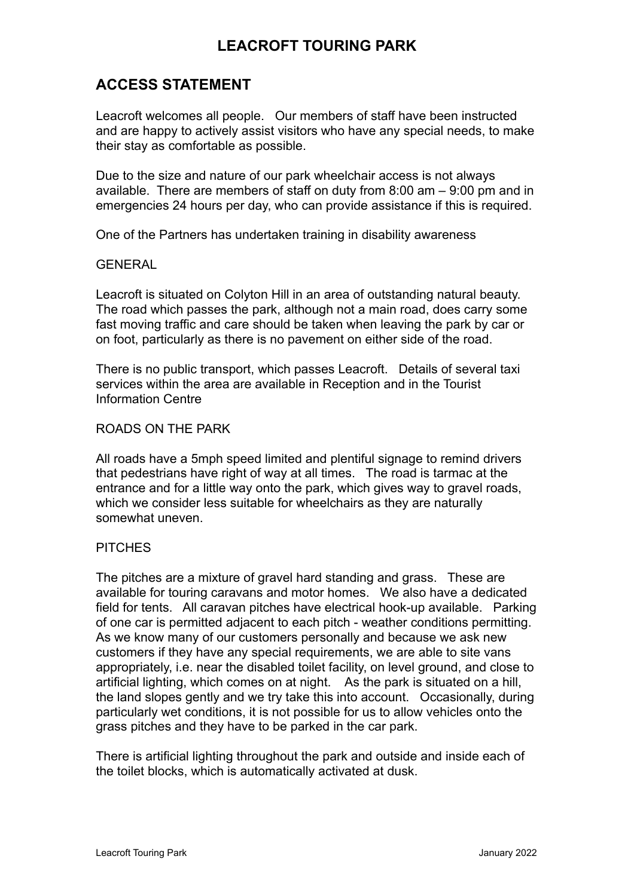# **LEACROFT TOURING PARK**

## **ACCESS STATEMENT**

Leacroft welcomes all people. Our members of staff have been instructed and are happy to actively assist visitors who have any special needs, to make their stay as comfortable as possible.

Due to the size and nature of our park wheelchair access is not always available. There are members of staff on duty from 8:00 am – 9:00 pm and in emergencies 24 hours per day, who can provide assistance if this is required.

One of the Partners has undertaken training in disability awareness

### **GENERAL**

Leacroft is situated on Colyton Hill in an area of outstanding natural beauty. The road which passes the park, although not a main road, does carry some fast moving traffic and care should be taken when leaving the park by car or on foot, particularly as there is no pavement on either side of the road.

There is no public transport, which passes Leacroft. Details of several taxi services within the area are available in Reception and in the Tourist Information Centre

## ROADS ON THE PARK

All roads have a 5mph speed limited and plentiful signage to remind drivers that pedestrians have right of way at all times. The road is tarmac at the entrance and for a little way onto the park, which gives way to gravel roads, which we consider less suitable for wheelchairs as they are naturally somewhat uneven.

## PITCHES

The pitches are a mixture of gravel hard standing and grass. These are available for touring caravans and motor homes. We also have a dedicated field for tents. All caravan pitches have electrical hook-up available. Parking of one car is permitted adjacent to each pitch - weather conditions permitting. As we know many of our customers personally and because we ask new customers if they have any special requirements, we are able to site vans appropriately, i.e. near the disabled toilet facility, on level ground, and close to artificial lighting, which comes on at night. As the park is situated on a hill, the land slopes gently and we try take this into account. Occasionally, during particularly wet conditions, it is not possible for us to allow vehicles onto the grass pitches and they have to be parked in the car park.

There is artificial lighting throughout the park and outside and inside each of the toilet blocks, which is automatically activated at dusk.